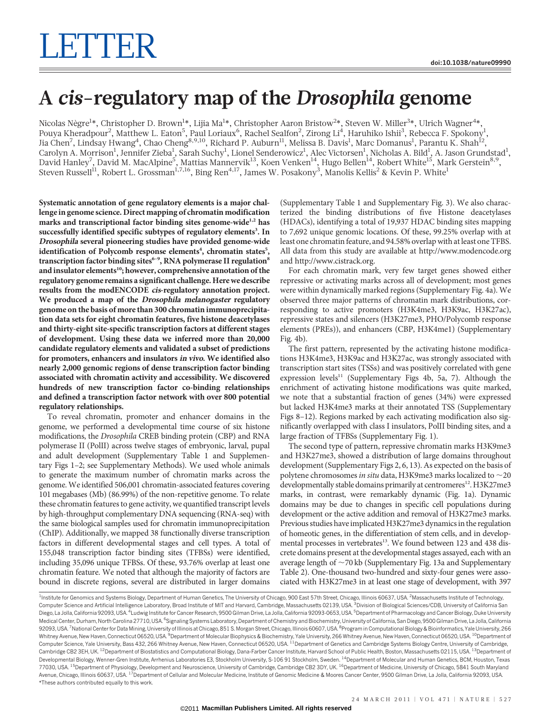## A cis-regulatory map of the Drosophila genome

Nicolas Nègre<sup>1</sup>\*, Christopher D. Brown<sup>1</sup>\*, Lijia Ma<sup>1</sup>\*, Christopher Aaron Bristow<sup>2</sup>\*, Steven W. Miller<sup>3</sup>\*, Ulrich Wagner<sup>4</sup>\*, Pouya Kheradpour<sup>2</sup>, Matthew L. Eaton<sup>5</sup>, Paul Loriaux<sup>6</sup>, Rachel Sealfon<sup>2</sup>, Zirong Li<sup>4</sup>, Haruhiko Ishii<sup>3</sup>, Rebecca F. Spokony<sup>1</sup>, Jia Chen<sup>7</sup>, Lindsay Hwang<sup>4</sup>, Chao Cheng<sup>8,9,10</sup>, Richard P. Auburn<sup>11</sup>, Melissa B. Davis<sup>1</sup>, Marc Domanus<sup>1</sup>, Parantu K. Shah<sup>12</sup>, Carolyn A. Morrison $^1$ , Jennifer Zieba $^1$ , Sarah Suchy $^1$ , Lionel Senderowicz $^1$ , Alec Victorsen $^1$ , Nicholas A. Bild $^1$ , A. Jason Grundstad $^1$ , David Hanley<sup>7</sup>, David M. MacAlpine<sup>5</sup>, Mattias Mannervik<sup>13</sup>, Koen Venken<sup>14</sup>, Hugo Bellen<sup>14</sup>, Robert White<sup>15</sup>, Mark Gerstein<sup>8,9</sup>, Steven Russell $^{11}$ , Robert L. Grossman $^{1,7,16}$ , Bing Ren $^{4,17}$ , James W. Posakony $^3$ , Manolis Kellis $^2$  & Kevin P. White $^1$ 

Systematic annotation of gene regulatory elements is a major challenge in genome science. Direct mapping of chromatin modification marks and transcriptional factor binding sites genome-wide<sup>1,2</sup> has successfully identified specific subtypes of regulatory elements<sup>3</sup>. In Drosophila several pioneering studies have provided genome-wide identification of Polycomb response elements<sup>4</sup>, chromatin states<sup>5</sup>, transcription factor binding sites<sup>6-9</sup>, RNA polymerase II regulation<sup>8</sup> and insulator elements<sup>10</sup>; however, comprehensive annotation of the regulatory genome remains a significant challenge. Here we describe results from the modENCODE cis-regulatory annotation project. We produced a map of the Drosophila melanogaster regulatory genome on the basis of more than 300 chromatin immunoprecipitation data sets for eight chromatin features, five histone deacetylases and thirty-eight site-specific transcription factors at different stages of development. Using these data we inferred more than 20,000 candidate regulatory elements and validated a subset of predictions for promoters, enhancers and insulators in vivo. We identified also nearly 2,000 genomic regions of dense transcription factor binding associated with chromatin activity and accessibility. We discovered hundreds of new transcription factor co-binding relationships and defined a transcription factor network with over 800 potential regulatory relationships.

To reveal chromatin, promoter and enhancer domains in the genome, we performed a developmental time course of six histone modifications, the Drosophila CREB binding protein (CBP) and RNA polymerase II (PolII) across twelve stages of embryonic, larval, pupal and adult development (Supplementary Table 1 and Supplementary Figs 1–2; see Supplementary Methods). We used whole animals to generate the maximum number of chromatin marks across the genome. We identified 506,001 chromatin-associated features covering 101 megabases (Mb) (86.99%) of the non-repetitive genome. To relate these chromatin features to gene activity, we quantified transcript levels by high-throughput complementary DNA sequencing (RNA-seq) with the same biological samples used for chromatin immunoprecipitation (ChIP). Additionally, we mapped 38 functionally diverse transcription factors in different developmental stages and cell types. A total of 155,048 transcription factor binding sites (TFBSs) were identified, including 35,096 unique TFBSs. Of these, 93.76% overlap at least one chromatin feature. We noted that although the majority of factors are bound in discrete regions, several are distributed in larger domains

(Supplementary Table 1 and Supplementary Fig. 3). We also characterized the binding distributions of five Histone deacetylases (HDACs), identifying a total of 19,937 HDAC binding sites mapping to 7,692 unique genomic locations. Of these, 99.25% overlap with at least one chromatin feature, and 94.58% overlap with at least one TFBS. All data from this study are available at<http://www.modencode.org> and<http://www.cistrack.org>.

For each chromatin mark, very few target genes showed either repressive or activating marks across all of development; most genes were within dynamically marked regions (Supplementary Fig. 4a). We observed three major patterns of chromatin mark distributions, corresponding to active promoters (H3K4me3, H3K9ac, H3K27ac), repressive states and silencers (H3K27me3, PHO/Polycomb response elements (PREs)), and enhancers (CBP, H3K4me1) (Supplementary Fig. 4b).

The first pattern, represented by the activating histone modifications H3K4me3, H3K9ac and H3K27ac, was strongly associated with transcription start sites (TSSs) and was positively correlated with gene expression levels<sup>11</sup> (Supplementary Figs 4b, 5a, 7). Although the enrichment of activating histone modifications was quite marked, we note that a substantial fraction of genes (34%) were expressed but lacked H3K4me3 marks at their annotated TSS (Supplementary Figs 8–12). Regions marked by each activating modification also significantly overlapped with class I insulators, PolII binding sites, and a large fraction of TFBSs (Supplementary Fig. 1).

The second type of pattern, repressive chromatin marks H3K9me3 and H3K27me3, showed a distribution of large domains throughout development (Supplementary Figs 2, 6, 13). As expected on the basis of polytene chromosomes in situ data, H3K9me3 marks localized to  $\sim$  20 developmentally stable domains primarily at centromeres<sup>12</sup>. H3K27me3 marks, in contrast, were remarkably dynamic (Fig. 1a). Dynamic domains may be due to changes in specific cell populations during development or the active addition and removal of H3K27me3 marks. Previous studies have implicated H3K27me3 dynamics in the regulation of homeotic genes, in the differentiation of stem cells, and in developmental processes in vertebrates<sup>13</sup>. We found between 123 and 438 discrete domains present at the developmental stages assayed, each with an average length of  $\sim$ 70 kb (Supplementary Fig. 13a and Supplementary Table 2). One-thousand two-hundred and sixty-four genes were associated with H3K27me3 in at least one stage of development, with 397

\*These authors contributed equally to this work. <sup>1</sup>Institute for Genomics and Systems Biology, Department of Human Genetics, The University of Chicago, 900 East 57th Street, Chicago, Illinois 60637, USA. <sup>2</sup>Massachusetts Institute of Technology Computer Science and Artificial Intelligence Laboratory, Broad Institute of MIT and Harvard, Cambridge, Massachusetts 02139, USA. <sup>3</sup>Division of Biological Sciences/CDB, University of California San Diego, La Jolla, California 92093, USA. <sup>4</sup>Ludwig Institute for Cancer Research, 9500 Gilman Drive, La Jolla, California 92093-0653, USA. <sup>5</sup>Department of Pharmacology and Cancer Biology, Duke University Medical Center, Durham, North Carolina 27710, USA. <sup>6</sup>Signaling Systems Laboratory, Department of Chemistry and Biochemistry, University of California, San Diego, 9500 Gilman Drive, La Jolla, California 92093, USA. <sup>7</sup>National Center for Data Mining, University of Illinois at Chicago, 851 S. Morgan Street, Chicago, Illinois 60607, USA. <sup>8</sup>Program in Computational Biology & Bioinformatics, Yale University, 266 Whitney Avenue, New Haven, Connecticut 06520, USA. <sup>9</sup>Department of Molecular Biophysics & Biochemistry, Yale University, 266 Whitney Avenue, New Haven, Connecticut 06520, USA. <sup>10</sup>Department of Computer Science, Yale University, Bass 432, 266 Whitney Avenue, New Haven, Connecticut 06520, USA. <sup>11</sup>Department of Genetics and Cambridge Systems Biology Centre, University of Cambridge, Cambridge CB2 3EH, UK.<sup>12</sup>Department of Biostatistics and Computational Biology, Dana-Farber Cancer Institute, Harvard School of Public Health, Boston, Massachusetts 02115, USA. <sup>13</sup>Department of Developmental Biology, Wenner-Gren Institute, Arrhenius Laboratories E3, Stockholm University, S-106 91 Stockholm, Sweden. <sup>14</sup>Department of Molecular and Human Genetics, BCM, Houston, Texas 77030, USA. 15Department of Physiology, Development and Neuroscience, University of Cambridge, Cambridge CB2 3DY, UK. 16Department of Medicine, University of Chicago, 5841 South Maryland Avenue, Chicago, Illinois 60637, USA. <sup>17</sup>Department of Cellular and Molecular Medicine, Institute of Genomic Medicine & Moores Cancer Center, 9500 Gilman Drive, La Jolla, California 92093, USA.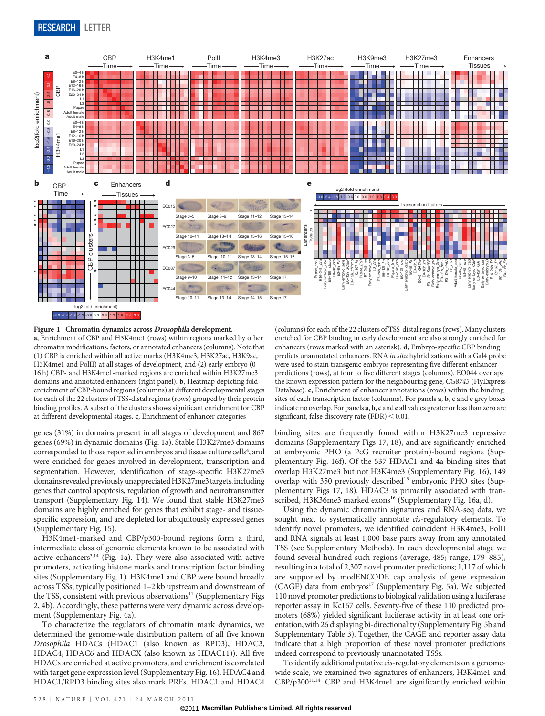

Figure 1 | Chromatin dynamics across Drosophila development. a, Enrichment of CBP and H3K4me1 (rows) within regions marked by other chromatin modifications, factors, or annotated enhancers (columns). Note that (1) CBP is enriched within all active marks (H3K4me3, H3K27ac, H3K9ac, H3K4me1 and PolII) at all stages of development, and (2) early embryo (0– 16 h) CBP- and H3K4me1-marked regions are enriched within H3K27me3 domains and annotated enhancers (right panel). b, Heatmap depicting fold enrichment of CBP-bound regions (columns) at different developmental stages for each of the 22 clusters of TSS-distal regions (rows) grouped by their protein binding profiles. A subset of the clusters shows significant enrichment for CBP at different developmental stages. c, Enrichment of enhancer categories

genes (31%) in domains present in all stages of development and 867 genes (69%) in dynamic domains (Fig. 1a). Stable H3K27me3 domains corresponded to those reported in embryos and tissue culture cells<sup>4</sup>, and were enriched for genes involved in development, transcription and segmentation. However, identification of stage-specific H3K27me3 domains revealed previously unappreciated H3K27me3 targets, including genes that control apoptosis, regulation of growth and neurotransmitter transport (Supplementary Fig. 14). We found that stable H3K27me3 domains are highly enriched for genes that exhibit stage- and tissuespecific expression, and are depleted for ubiquitously expressed genes (Supplementary Fig. 15).

H3K4me1-marked and CBP/p300-bound regions form a third, intermediate class of genomic elements known to be associated with active enhancers<sup>3,14</sup> (Fig. 1a). They were also associated with active promoters, activating histone marks and transcription factor binding sites (Supplementary Fig. 1). H3K4me1 and CBP were bound broadly across TSSs, typically positioned 1–2 kb upstream and downstream of the TSS, consistent with previous observations $11$  (Supplementary Figs 2, 4b). Accordingly, these patterns were very dynamic across development (Supplementary Fig. 4a).

To characterize the regulators of chromatin mark dynamics, we determined the genome-wide distribution pattern of all five known Drosophila HDACs (HDAC1 (also known as RPD3), HDAC3, HDAC4, HDAC6 and HDACX (also known as HDAC11)). All five HDACs are enriched at active promoters, and enrichment is correlated with target gene expression level (Supplementary Fig. 16). HDAC4 and HDAC1/RPD3 binding sites also mark PREs. HDAC1 and HDAC4

(columns) for each of the 22 clusters of TSS-distal regions (rows). Many clusters enriched for CBP binding in early development are also strongly enriched for enhancers (rows marked with an asterisk). d, Embryo-specific CBP binding predicts unannotated enhancers. RNA in situ hybridizations with a Gal4 probe were used to stain transgenic embryos representing five different enhancer predictions (rows), at four to five different stages (columns). EO044 overlaps the known expression pattern for the neighbouring gene, CG8745 (FlyExpress Database). e, Enrichment of enhancer annotations (rows) within the binding sites of each transcription factor (columns). For panels a, b, c and e grey boxes indicate no overlap. For panels a, b, c and e all values greater or less than zero are significant, false discovery rate  $(FDR) < 0.01$ .

binding sites are frequently found within H3K27me3 repressive domains (Supplementary Figs 17, 18), and are significantly enriched at embryonic PHO (a PcG recruiter protein)-bound regions (Supplementary Fig. 16f). Of the 537 HDAC1 and 4a binding sites that overlap H3K27me3 but not H3K4me3 (Supplementary Fig. 16), 149 overlap with 350 previously described<sup>15</sup> embryonic PHO sites (Supplementary Figs 17, 18). HDAC3 is primarily associated with transcribed, H3K36me3 marked exons<sup>16</sup> (Supplementary Fig. 16a, d).

Using the dynamic chromatin signatures and RNA-seq data, we sought next to systematically annotate *cis*-regulatory elements. To identify novel promoters, we identified coincident H3K4me3, PolII and RNA signals at least 1,000 base pairs away from any annotated TSS (see Supplementary Methods). In each developmental stage we found several hundred such regions (average, 485; range, 179–885), resulting in a total of 2,307 novel promoter predictions; 1,117 of which are supported by modENCODE cap analysis of gene expression (CAGE) data from embryos<sup>17</sup> (Supplementary Fig. 5a). We subjected 110 novel promoter predictions to biological validation using a luciferase reporter assay in Kc167 cells. Seventy-five of these 110 predicted promoters (68%) yielded significant luciferase activity in at least one orientation, with 26 displaying bi-directionality (Supplementary Fig. 5b and Supplementary Table 3). Together, the CAGE and reporter assay data indicate that a high proportion of these novel promoter predictions indeed correspond to previously unannotated TSSs.

To identify additional putative cis-regulatory elements on a genomewide scale, we examined two signatures of enhancers, H3K4me1 and CBP/p300<sup>11,14</sup>. CBP and H3K4me1 are significantly enriched within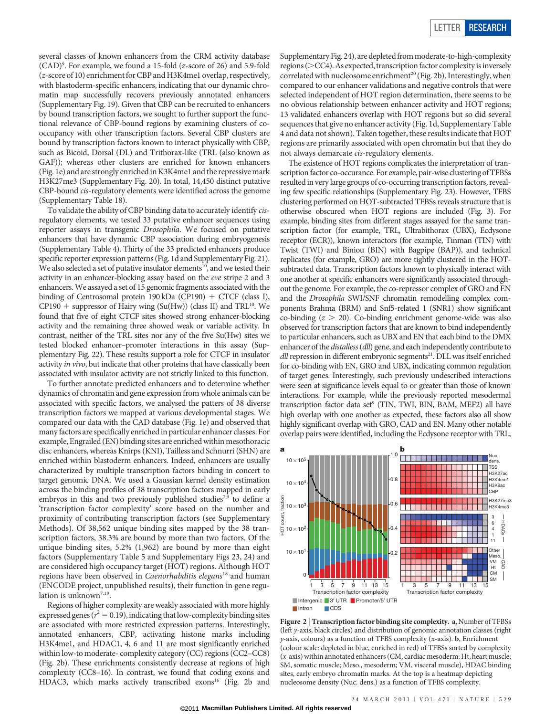several classes of known enhancers from the CRM activity database (CAD)9 . For example, we found a 15-fold (z-score of 26) and 5.9-fold (z-score of 10) enrichment for CBP and H3K4me1 overlap, respectively, with blastoderm-specific enhancers, indicating that our dynamic chromatin map successfully recovers previously annotated enhancers (Supplementary Fig. 19). Given that CBP can be recruited to enhancers by bound transcription factors, we sought to further support the functional relevance of CBP-bound regions by examining clusters of cooccupancy with other transcription factors. Several CBP clusters are bound by transcription factors known to interact physically with CBP, such as Bicoid, Dorsal (DL) and Trithorax-like (TRL (also known as GAF)); whereas other clusters are enriched for known enhancers (Fig. 1e) and are strongly enriched in K3K4me1 and the repressive mark H3K27me3 (Supplementary Fig. 20). In total, 14,450 distinct putative CBP-bound cis-regulatory elements were identified across the genome (Supplementary Table 18).

To validate the ability of CBP binding data to accurately identify cisregulatory elements, we tested 33 putative enhancer sequences using reporter assays in transgenic Drosophila. We focused on putative enhancers that have dynamic CBP association during embryogenesis (Supplementary Table 4). Thirty of the 33 predicted enhancers produce specific reporter expression patterns (Fig. 1d and Supplementary Fig. 21). We also selected a set of putative insulator elements<sup>10</sup>, and we tested their activity in an enhancer-blocking assay based on the eve stripe 2 and 3 enhancers. We assayed a set of 15 genomic fragments associated with the binding of Centrosomal protein 190 kDa (CP190) + CTCF (class I), CP190 + suppressor of Hairy wing (Su(Hw)) (class II) and TRL<sup>10</sup>. We found that five of eight CTCF sites showed strong enhancer-blocking activity and the remaining three showed weak or variable activity. In contrast, neither of the TRL sites nor any of the five Su(Hw) sites we tested blocked enhancer–promoter interactions in this assay (Supplementary Fig. 22). These results support a role for CTCF in insulator activity in vivo, but indicate that other proteins that have classically been associated with insulator activity are not strictly linked to this function.

To further annotate predicted enhancers and to determine whether dynamics of chromatin and gene expression from whole animals can be associated with specific factors, we analysed the patters of 38 diverse transcription factors we mapped at various developmental stages. We compared our data with the CAD database (Fig. 1e) and observed that manyfactors are specifically enriched in particular enhancer classes. For example, Engrailed (EN) binding sites are enriched within mesothoracic disc enhancers, whereas Knirps (KNI), Tailless and Schnurri (SHN) are enriched within blastoderm enhancers. Indeed, enhancers are usually characterized by multiple transcription factors binding in concert to target genomic DNA. We used a Gaussian kernel density estimation across the binding profiles of 38 transcription factors mapped in early embryos in this and two previously published studies<sup>7,9</sup> to define a 'transcription factor complexity' score based on the number and proximity of contributing transcription factors (see Supplementary Methods). Of 38,562 unique binding sites mapped by the 38 transcription factors, 38.3% are bound by more than two factors. Of the unique binding sites, 5.2% (1,962) are bound by more than eight factors (Supplementary Table 5 and Supplementary Figs 23, 24) and are considered high occupancy target (HOT) regions. Although HOT regions have been observed in Caenorhabditis elegans<sup>18</sup> and human (ENCODE project, unpublished results), their function in gene regulation is unknown<sup>7,19</sup>.

Regions of higher complexity are weakly associated with more highly expressed genes ( $r^2 = 0.19$ ), indicating that low-complexity binding sites are associated with more restricted expression patterns. Interestingly, annotated enhancers, CBP, activating histone marks including H3K4me1, and HDAC1, 4, 6 and 11 are most significantly enriched within low-to moderate- complexity category (CC) regions (CC2–CC8) (Fig. 2b). These enrichments consistently decrease at regions of high complexity (CC8–16). In contrast, we found that coding exons and HDAC3, which marks actively transcribed exons<sup>16</sup> (Fig. 2b and

Supplementary Fig. 24), are depleted from moderate-to-high-complexity  $regions (>CC4)$ . As expected, transcription factor complexity is inversely correlated with nucleosome enrichment<sup>20</sup> (Fig. 2b). Interestingly, when compared to our enhancer validations and negative controls that were selected independent of HOT region determination, there seems to be no obvious relationship between enhancer activity and HOT regions; 13 validated enhancers overlap with HOT regions but so did several sequences that give no enhancer activity (Fig. 1d, Supplementary Table 4 and data not shown). Taken together, these results indicate that HOT regions are primarily associated with open chromatin but that they do not always demarcate cis-regulatory elements.

The existence of HOT regions complicates the interpretation of transcription factor co-occurance. For example, pair-wise clustering of TFBSs resulted in very large groups of co-occurring transcription factors, revealing few specific relationships (Supplementary Fig. 23). However, TFBS clustering performed on HOT-subtracted TFBSs reveals structure that is otherwise obscured when HOT regions are included (Fig. 3). For example, binding sites from different stages assayed for the same transcription factor (for example, TRL, Ultrabithorax (UBX), Ecdysone receptor (ECR)), known interactors (for example, Tinman (TIN) with Twist (TWI) and Biniou (BIN) with Bagpipe (BAP)), and technical replicates (for example, GRO) are more tightly clustered in the HOTsubtracted data. Transcription factors known to physically interact with one another at specific enhancers were significantly associated throughout the genome. For example, the co-repressor complex of GRO and EN and the Drosophila SWI/SNF chromatin remodelling complex components Brahma (BRM) and Snf5-related 1 (SNR1) show significant co-binding  $(z > 20)$ . Co-binding enrichment genome-wide was also observed for transcription factors that are known to bind independently to particular enhancers, such as UBX and EN that each bind to the DMX enhancer of the *distalless* (dll) gene, and each independently contribute to dll repression in different embryonic segments<sup>21</sup>. DLL was itself enriched for co-binding with EN, GRO and UBX, indicating common regulation of target genes. Interestingly, such previously undescribed interactions were seen at significance levels equal to or greater than those of known interactions. For example, while the previously reported mesodermal transcription factor data set<sup>9</sup> (TIN, TWI, BIN, BAM, MEF2) all have high overlap with one another as expected, these factors also all show highly significant overlap with GRO, CAD and EN. Many other notable overlap pairs were identified, including the Ecdysone receptor with TRL,



Figure 2 | Transcription factor binding site complexity. a, Number of TFBSs (left y-axis, black circles) and distribution of genomic annotation classes (right  $y$ -axis, colours) as a function of TFBS complexity (x-axis). **b**, Enrichment (colour scale: depleted in blue, enriched in red) of TFBSs sorted by complexity (x-axis) within annotated enhancers (CM, cardiac mesoderm; Ht, heart muscle; SM, somatic muscle; Meso., mesoderm; VM, visceral muscle), HDAC binding sites, early embryo chromatin marks. At the top is a heatmap depicting nucleosome density (Nuc. dens.) as a function of TFBS complexity.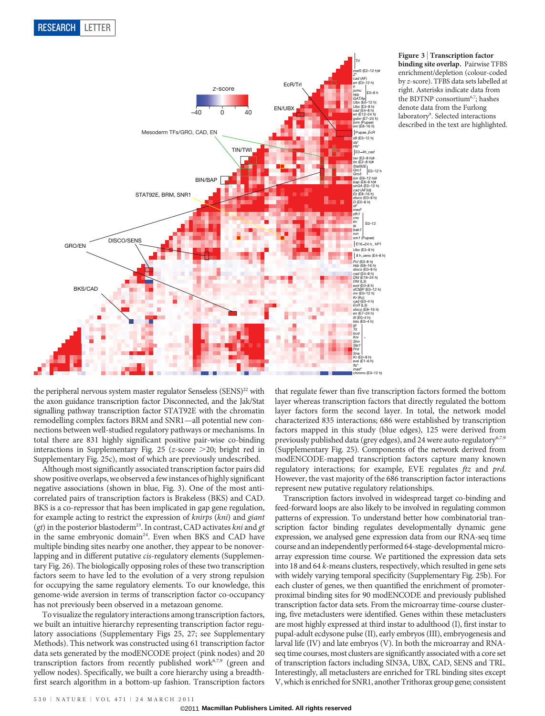

Figure 3 <sup>|</sup> Transcription factor binding site overlap. Pairwise TFBS enrichment/depletion (colour-coded by z-score). TFBS data sets labelled at right. Asterisks indicate data from the BDTNP consortium<sup>6,7</sup>; hashes denote data from the Furlong laboratory<sup>9</sup>. Selected interactions described in the text are highlighted.

the peripheral nervous system master regulator Senseless (SENS)<sup>22</sup> with the axon guidance transcription factor Disconnected, and the Jak/Stat signalling pathway transcription factor STAT92E with the chromatin remodelling complex factors BRM and SNR1—all potential new connections between well-studied regulatory pathways or mechanisms. In total there are 831 highly significant positive pair-wise co-binding interactions in Supplementary Fig. 25 (z-score  $>$  20; bright red in Supplementary Fig. 25c), most of which are previously undescribed.

Although most significantly associated transcription factor pairs did show positive overlaps, we observed afew instances of highly significant negative associations (shown in blue, Fig. 3). One of the most anticorrelated pairs of transcription factors is Brakeless (BKS) and CAD. BKS is a co-repressor that has been implicated in gap gene regulation, for example acting to restrict the expression of knirps (kni) and giant (gt) in the posterior blastoderm<sup>23</sup>. In contrast, CAD activates kni and gt in the same embryonic domain<sup>24</sup>. Even when BKS and CAD have multiple binding sites nearby one another, they appear to be nonoverlapping and in different putative cis-regulatory elements (Supplementary Fig. 26). The biologically opposing roles of these two transcription factors seem to have led to the evolution of a very strong repulsion for occupying the same regulatory elements. To our knowledge, this genome-wide aversion in terms of transcription factor co-occupancy has not previously been observed in a metazoan genome.

To visualize the regulatory interactions among transcription factors, we built an intuitive hierarchy representing transcription factor regulatory associations (Supplementary Figs 25, 27; see Supplementary Methods). This network was constructed using 61 transcription factor data sets generated by the modENCODE project (pink nodes) and 20 transcription factors from recently published work<sup>6,7,9</sup> (green and yellow nodes). Specifically, we built a core hierarchy using a breadthfirst search algorithm in a bottom-up fashion. Transcription factors

that regulate fewer than five transcription factors formed the bottom layer whereas transcription factors that directly regulated the bottom layer factors form the second layer. In total, the network model characterized 835 interactions; 686 were established by transcription factors mapped in this study (blue edges), 125 were derived from previously published data (grey edges), and 24 were auto-regulatory<sup>6,7,9</sup> (Supplementary Fig. 25). Components of the network derived from modENCODE-mapped transcription factors capture many known regulatory interactions; for example, EVE regulates ftz and prd. However, the vast majority of the 686 transcription factor interactions represent new putative regulatory relationships.

Transcription factors involved in widespread target co-binding and feed-forward loops are also likely to be involved in regulating common patterns of expression. To understand better how combinatorial transcription factor binding regulates developmentally dynamic gene expression, we analysed gene expression data from our RNA-seq time course and an independently performed 64-stage-developmental microarray expression time course. We partitioned the expression data sets into 18 and 64 k-means clusters, respectively, which resulted in gene sets with widely varying temporal specificity (Supplementary Fig. 25b). For each cluster of genes, we then quantified the enrichment of promoterproximal binding sites for 90 modENCODE and previously published transcription factor data sets. From the microarray time-course clustering, five metaclusters were identified. Genes within these metaclusters are most highly expressed at third instar to adulthood (I), first instar to pupal-adult ecdysone pulse (II), early embryos (III), embryogenesis and larval life (IV) and late embryos (V). In both the microarray and RNAseq time courses, most clusters are significantly associated with a core set of transcription factors including SIN3A, UBX, CAD, SENS and TRL. Interestingly, all metaclusters are enriched for TRL binding sites except V, which is enriched for SNR1, another Trithorax group gene; consistent